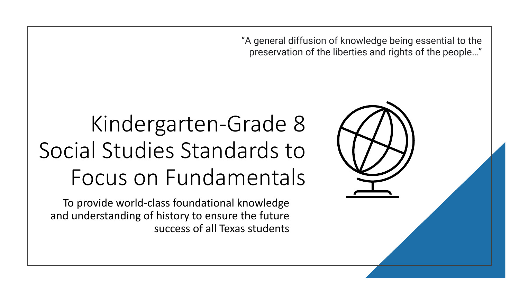"A general diffusion of knowledge being essential to the preservation of the liberties and rights of the people…"

# Kindergarten-Grade 8 Social Studies Standards to Focus on Fundamentals

To provide world-class foundational knowledge and understanding of history to ensure the future success of all Texas students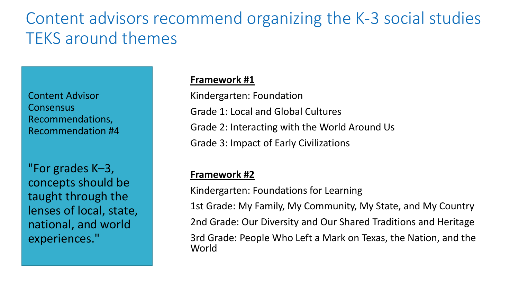## Content advisors recommend organizing the K-3 social studies TEKS around themes

Content Advisor Consensus Recommendations, Recommendation #4

"For grades K–3, concepts should be taught through the lenses of local, state, national, and world experiences."

#### **Framework #1**

Kindergarten: Foundation Grade 1: Local and Global Cultures Grade 2: Interacting with the World Around Us Grade 3: Impact of Early Civilizations

#### **Framework #2**

Kindergarten: Foundations for Learning

1st Grade: My Family, My Community, My State, and My Country

2nd Grade: Our Diversity and Our Shared Traditions and Heritage

3rd Grade: People Who Left a Mark on Texas, the Nation, and the World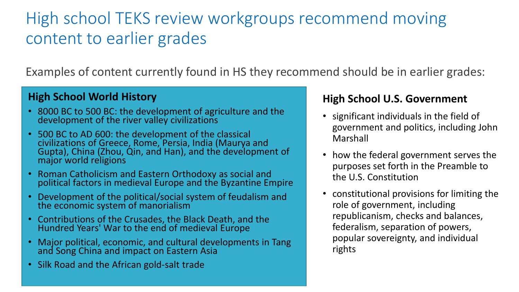## High school TEKS review workgroups recommend moving content to earlier grades

Examples of content currently found in HS they recommend should be in earlier grades:

#### **High School World History**

- 8000 BC to 500 BC: the development of agriculture and the development of the river valley civilizations
- 500 BC to AD 600: the development of the classical civilizations of Greece, Rome, Persia, India (Maurya and Gupta), China (Zhou, Qin, and Han), and the development of major world religions
- Roman Catholicism and Eastern Orthodoxy as social and political factors in medieval Europe and the Byzantine Empire
- Development of the political/social system of feudalism and the economic system of manorialism
- Contributions of the Crusades, the Black Death, and the Hundred Years' War to the end of medieval Europe
- Major political, economic, and cultural developments in Tang and Song China and impact on Eastern Asia
- Silk Road and the African gold-salt trade

### **High School U.S. Government**

- significant individuals in the field of government and politics, including John Marshall
- how the federal government serves the purposes set forth in the Preamble to the U.S. Constitution
- constitutional provisions for limiting the role of government, including republicanism, checks and balances, federalism, separation of powers, popular sovereignty, and individual rights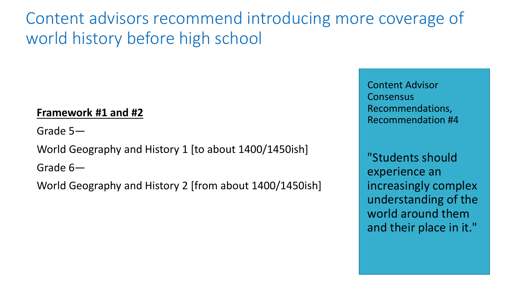Content advisors recommend introducing more coverage of world history before high school

### **Framework #1 and #2**

Grade 5—

World Geography and History 1 [to about 1400/1450ish]

Grade 6—

World Geography and History 2 [from about 1400/1450ish]

Content Advisor Consensus Recommendations, Recommendation #4

"Students should experience an increasingly complex understanding of the world around them and their place in it."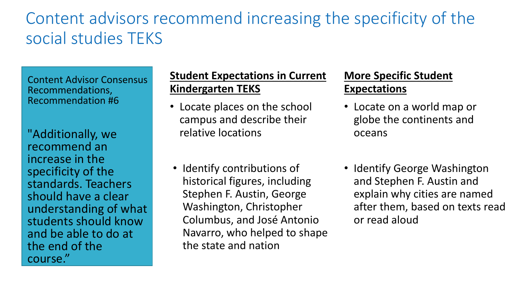## Content advisors recommend increasing the specificity of the social studies TEKS

Content Advisor Consensus Recommendations, Recommendation #6

"Additionally, we recommend an increase in the specificity of the standards. Teachers should have a clear understanding of what students should know and be able to do at the end of the course."

### **Student Expectations in Current Kindergarten TEKS**

• Locate places on the school campus and describe their relative locations

### **More Specific Student Expectations**

- Locate on a world map or globe the continents and oceans
- Identify contributions of historical figures, including Stephen F. Austin, George Washington, Christopher Columbus, and José Antonio Navarro, who helped to shape the state and nation
- Identify George Washington and Stephen F. Austin and explain why cities are named after them, based on texts read or read aloud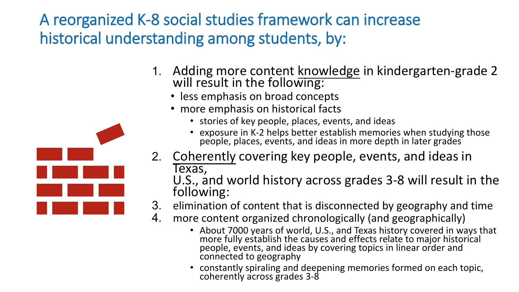A reorganized K-8 social studies framework can increase historical understanding among students, by:

- 1. Adding more content knowledge in kindergarten-grade 2 will result in the following:
	- less emphasis on broad concepts
	- more emphasis on historical facts
		- stories of key people, places, events, and ideas
		- exposure in K-2 helps better establish memories when studying those people, places, events, and ideas in more depth in later grades
- 2. Coherently covering key people, events, and ideas in Texas,

U.S., and world history across grades 3-8 will result in the following:

- 3. elimination of content that is disconnected by geography and time
- 4. more content organized chronologically (and geographically)
	- About 7000 years of world, U.S., and Texas history covered in ways that more fully establish the causes and effects relate to major historical people, events, and ideas by covering topics in linear order and connected to geography
	- constantly spiraling and deepening memories formed on each topic, coherently across grades 3-8

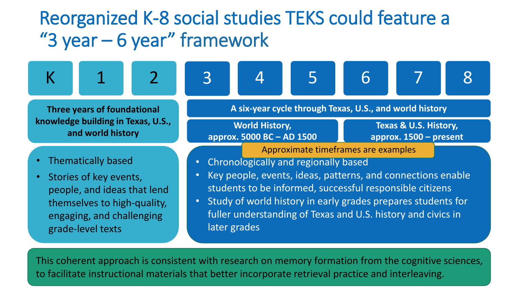# Reorganized K-8 social studies TEKS could feature a "3 year – 6 year" framework

K 1 2 3 4 5 6 7 8







$$
\begin{array}{|c|} \hline 6 \\ \hline \end{array}
$$





**Three years of foundational knowledge building in Texas, U.S., and world history**

- Thematically based
- Stories of key events, people, and ideas that lend themselves to high-quality, engaging, and challenging grade-level texts

**A six-year cycle through Texas, U.S., and world history**

**World History, approx. 5000 BC – AD 1500**

**Texas & U.S. History, approx. 1500 – present**

Approximate timeframes are examples

- Chronologically and regionally based
- Key people, events, ideas, patterns, and connections enable students to be informed, successful responsible citizens
- Study of world history in early grades prepares students for fuller understanding of Texas and U.S. history and civics in later grades

This coherent approach is consistent with research on memory formation from the cognitive sciences, to facilitate instructional materials that better incorporate retrieval practice and interleaving.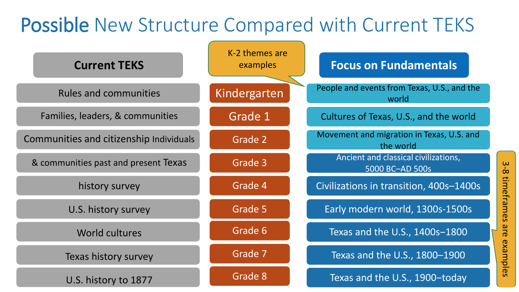# Possible New Structure Compared with Current TEKS

| <b>Current TEKS</b>                     | K-2 themes are<br>examples | <b>Focus on Fundamentals</b>                            |
|-----------------------------------------|----------------------------|---------------------------------------------------------|
| <b>Rules and communities</b>            | Kindergarten               | People and events from Texas, U.S., and the<br>world    |
| Families, leaders, & communities        | Grade 1                    | Cultures of Texas, U.S., and the world                  |
| Communities and citizenship Individuals | Grade 2                    | Movement and migration in Texas, U.S. and<br>the world  |
| & communities past and present Texas    | Grade 3                    | Ancient and classical civilizations,<br>5000 BC-AD 500s |
| history survey                          | Grade 4                    | Civilizations in transition, 400s-1400s                 |
| U.S. history survey                     | Grade 5                    | Early modern world, 1300s-1500s                         |
| World cultures                          | Grade 6                    | Texas and the U.S., 1400s-1800                          |
| Texas history survey                    | Grade 7                    | Texas and the U.S., 1800-1900                           |
| U.S. history to 1877                    | Grade 8                    | Texas and the U.S., 1900-today                          |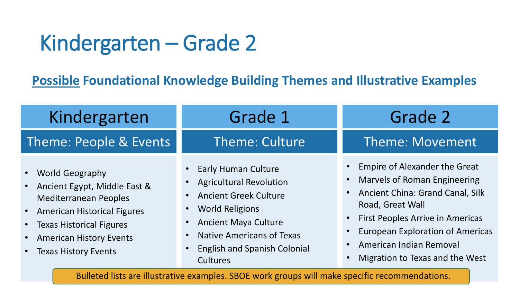# Kindergarten – Grade 2

**Possible Foundational Knowledge Building Themes and Illustrative Examples**

| Kindergarten                                                                                                                                                                                                                                     | Grade 1                                                                                                                                                                                                                                      | Grade 2                                                                                                                                                                                                                                                                                |
|--------------------------------------------------------------------------------------------------------------------------------------------------------------------------------------------------------------------------------------------------|----------------------------------------------------------------------------------------------------------------------------------------------------------------------------------------------------------------------------------------------|----------------------------------------------------------------------------------------------------------------------------------------------------------------------------------------------------------------------------------------------------------------------------------------|
| Theme: People & Events                                                                                                                                                                                                                           | Theme: Culture                                                                                                                                                                                                                               | <b>Theme: Movement</b>                                                                                                                                                                                                                                                                 |
| <b>World Geography</b><br>$\bullet$<br>Ancient Egypt, Middle East &<br>$\bullet$<br><b>Mediterranean Peoples</b><br>• American Historical Figures<br>• Texas Historical Figures<br><b>American History Events</b><br><b>Texas History Events</b> | <b>Early Human Culture</b><br><b>Agricultural Revolution</b><br><b>Ancient Greek Culture</b><br><b>World Religions</b><br><b>Ancient Maya Culture</b><br><b>Native Americans of Texas</b><br><b>English and Spanish Colonial</b><br>Cultures | <b>Empire of Alexander the Great</b><br><b>Marvels of Roman Engineering</b><br>• Ancient China: Grand Canal, Silk<br>Road, Great Wall<br>• First Peoples Arrive in Americas<br><b>European Exploration of Americas</b><br>• American Indian Removal<br>Migration to Texas and the West |

Bulleted lists are illustrative examples. SBOE work groups will make specific recommendations.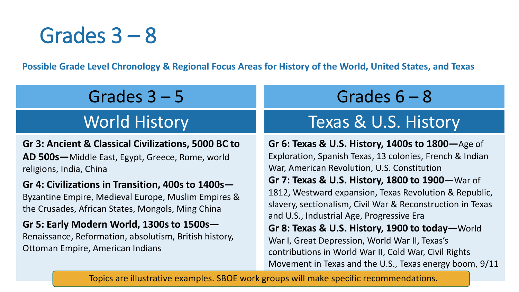# Grades 3 – 8

**Possible Grade Level Chronology & Regional Focus Areas for History of the World, United States, and Texas**

## Grades 3 – 5

## World History

**Gr 3: Ancient & Classical Civilizations, 5000 BC to AD 500s—**Middle East, Egypt, Greece, Rome, world religions, India, China

#### **Gr 4: Civilizations in Transition, 400s to 1400s—**

Byzantine Empire, Medieval Europe, Muslim Empires & the Crusades, African States, Mongols, Ming China

#### **Gr 5: Early Modern World, 1300s to 1500s—** Renaissance, Reformation, absolutism, British history, Ottoman Empire, American Indians

## Grades 6 – 8

## Texas & U.S. History

**Gr 6: Texas & U.S. History, 1400s to 1800—**Age of Exploration, Spanish Texas, 13 colonies, French & Indian War, American Revolution, U.S. Constitution **Gr 7: Texas & U.S. History, 1800 to 1900**—War of 1812, Westward expansion, Texas Revolution & Republic, slavery, sectionalism, Civil War & Reconstruction in Texas and U.S., Industrial Age, Progressive Era **Gr 8: Texas & U.S. History, 1900 to today—**World War I, Great Depression, World War II, Texas's contributions in World War II, Cold War, Civil Rights Movement in Texas and the U.S., Texas energy boom, 9/11

Topics are illustrative examples. SBOE work groups will make specific recommendations.